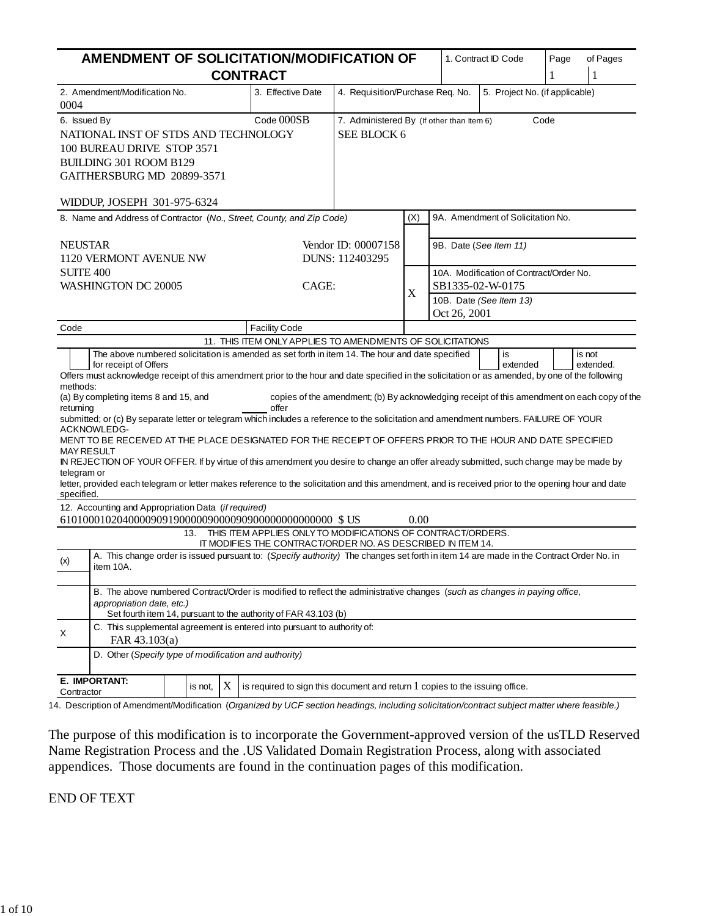|                                                                                                                                                                                                                                                                                                                                                                                                                                                                                                                                                                                                                                                                                                                                                                                                                                                                                                                                                                                                                |                                                                                                                                                                                                                           |  |         |                                                                                                        | AMENDMENT OF SOLICITATION/MODIFICATION OF                                                 |                                        |     |  | 1. Contract ID Code               | Page | of Pages |
|----------------------------------------------------------------------------------------------------------------------------------------------------------------------------------------------------------------------------------------------------------------------------------------------------------------------------------------------------------------------------------------------------------------------------------------------------------------------------------------------------------------------------------------------------------------------------------------------------------------------------------------------------------------------------------------------------------------------------------------------------------------------------------------------------------------------------------------------------------------------------------------------------------------------------------------------------------------------------------------------------------------|---------------------------------------------------------------------------------------------------------------------------------------------------------------------------------------------------------------------------|--|---------|--------------------------------------------------------------------------------------------------------|-------------------------------------------------------------------------------------------|----------------------------------------|-----|--|-----------------------------------|------|----------|
|                                                                                                                                                                                                                                                                                                                                                                                                                                                                                                                                                                                                                                                                                                                                                                                                                                                                                                                                                                                                                |                                                                                                                                                                                                                           |  |         |                                                                                                        | <b>CONTRACT</b>                                                                           |                                        |     |  |                                   | 1    | 1        |
| 0004                                                                                                                                                                                                                                                                                                                                                                                                                                                                                                                                                                                                                                                                                                                                                                                                                                                                                                                                                                                                           | 2. Amendment/Modification No.                                                                                                                                                                                             |  |         |                                                                                                        | 3. Effective Date                                                                         | 4. Requisition/Purchase Req. No.       |     |  | 5. Project No. (if applicable)    |      |          |
| Code 000SB<br>6. Issued By<br>NATIONAL INST OF STDS AND TECHNOLOGY<br>100 BUREAU DRIVE STOP 3571<br>BUILDING 301 ROOM B129<br>GAITHERSBURG MD 20899-3571                                                                                                                                                                                                                                                                                                                                                                                                                                                                                                                                                                                                                                                                                                                                                                                                                                                       |                                                                                                                                                                                                                           |  |         | Code<br>7. Administered By (If other than Item 6)<br>SEE BLOCK 6                                       |                                                                                           |                                        |     |  |                                   |      |          |
|                                                                                                                                                                                                                                                                                                                                                                                                                                                                                                                                                                                                                                                                                                                                                                                                                                                                                                                                                                                                                | WIDDUP, JOSEPH 301-975-6324                                                                                                                                                                                               |  |         |                                                                                                        |                                                                                           |                                        |     |  |                                   |      |          |
|                                                                                                                                                                                                                                                                                                                                                                                                                                                                                                                                                                                                                                                                                                                                                                                                                                                                                                                                                                                                                |                                                                                                                                                                                                                           |  |         |                                                                                                        | 8. Name and Address of Contractor (No., Street, County, and Zip Code)                     |                                        | (X) |  | 9A. Amendment of Solicitation No. |      |          |
| <b>NEUSTAR</b>                                                                                                                                                                                                                                                                                                                                                                                                                                                                                                                                                                                                                                                                                                                                                                                                                                                                                                                                                                                                 | 1120 VERMONT AVENUE NW                                                                                                                                                                                                    |  |         |                                                                                                        |                                                                                           | Vendor ID: 00007158<br>DUNS: 112403295 |     |  | 9B. Date (See Item 11)            |      |          |
| <b>SUITE 400</b><br>WASHINGTON DC 20005<br>CAGE:                                                                                                                                                                                                                                                                                                                                                                                                                                                                                                                                                                                                                                                                                                                                                                                                                                                                                                                                                               |                                                                                                                                                                                                                           |  | X       | 10A. Modification of Contract/Order No.<br>SB1335-02-W-0175<br>10B. Date (See Item 13)<br>Oct 26, 2001 |                                                                                           |                                        |     |  |                                   |      |          |
| Code                                                                                                                                                                                                                                                                                                                                                                                                                                                                                                                                                                                                                                                                                                                                                                                                                                                                                                                                                                                                           |                                                                                                                                                                                                                           |  |         |                                                                                                        | <b>Facility Code</b>                                                                      |                                        |     |  |                                   |      |          |
|                                                                                                                                                                                                                                                                                                                                                                                                                                                                                                                                                                                                                                                                                                                                                                                                                                                                                                                                                                                                                |                                                                                                                                                                                                                           |  |         |                                                                                                        | 11. THIS ITEM ONLY APPLIES TO AMENDMENTS OF SOLICITATIONS                                 |                                        |     |  |                                   |      |          |
| for receipt of Offers<br>extended<br>extended.<br>Offers must acknowledge receipt of this amendment prior to the hour and date specified in the solicitation or as amended, by one of the following<br>methods:<br>copies of the amendment; (b) By acknowledging receipt of this amendment on each copy of the<br>(a) By completing items 8 and 15, and<br>offer<br>returning<br>submitted; or (c) By separate letter or telegram which includes a reference to the solicitation and amendment numbers. FAILURE OF YOUR<br><b>ACKNOWLEDG-</b><br>MENT TO BE RECEIVED AT THE PLACE DESIGNATED FOR THE RECEIPT OF OFFERS PRIOR TO THE HOUR AND DATE SPECIFIED<br><b>MAY RESULT</b><br>IN REJECTION OF YOUR OFFER. If by virtue of this amendment you desire to change an offer already submitted, such change may be made by<br>telegram or<br>letter, provided each telegram or letter makes reference to the solicitation and this amendment, and is received prior to the opening hour and date<br>specified. |                                                                                                                                                                                                                           |  |         |                                                                                                        |                                                                                           |                                        |     |  |                                   |      |          |
| 12. Accounting and Appropriation Data (if required)<br>0.00                                                                                                                                                                                                                                                                                                                                                                                                                                                                                                                                                                                                                                                                                                                                                                                                                                                                                                                                                    |                                                                                                                                                                                                                           |  |         |                                                                                                        |                                                                                           |                                        |     |  |                                   |      |          |
| THIS ITEM APPLIES ONLY TO MODIFICATIONS OF CONTRACT/ORDERS.<br>13.                                                                                                                                                                                                                                                                                                                                                                                                                                                                                                                                                                                                                                                                                                                                                                                                                                                                                                                                             |                                                                                                                                                                                                                           |  |         |                                                                                                        |                                                                                           |                                        |     |  |                                   |      |          |
| IT MODIFIES THE CONTRACT/ORDER NO. AS DESCRIBED IN ITEM 14.<br>A. This change order is issued pursuant to: (Specify authority) The changes set forth in item 14 are made in the Contract Order No. in<br>(x)<br>Item 10A.                                                                                                                                                                                                                                                                                                                                                                                                                                                                                                                                                                                                                                                                                                                                                                                      |                                                                                                                                                                                                                           |  |         |                                                                                                        |                                                                                           |                                        |     |  |                                   |      |          |
|                                                                                                                                                                                                                                                                                                                                                                                                                                                                                                                                                                                                                                                                                                                                                                                                                                                                                                                                                                                                                | B. The above numbered Contract/Order is modified to reflect the administrative changes (such as changes in paying office,<br>appropriation date, etc.)<br>Set fourth item 14, pursuant to the authority of FAR 43.103 (b) |  |         |                                                                                                        |                                                                                           |                                        |     |  |                                   |      |          |
| X                                                                                                                                                                                                                                                                                                                                                                                                                                                                                                                                                                                                                                                                                                                                                                                                                                                                                                                                                                                                              | C. This supplemental agreement is entered into pursuant to authority of:<br>FAR $43.103(a)$                                                                                                                               |  |         |                                                                                                        |                                                                                           |                                        |     |  |                                   |      |          |
|                                                                                                                                                                                                                                                                                                                                                                                                                                                                                                                                                                                                                                                                                                                                                                                                                                                                                                                                                                                                                | D. Other (Specify type of modification and authority)                                                                                                                                                                     |  |         |                                                                                                        |                                                                                           |                                        |     |  |                                   |      |          |
| Contractor                                                                                                                                                                                                                                                                                                                                                                                                                                                                                                                                                                                                                                                                                                                                                                                                                                                                                                                                                                                                     | E. IMPORTANT:                                                                                                                                                                                                             |  | is not, | X                                                                                                      | is required to sign this document and return $\overline{1}$ copies to the issuing office. |                                        |     |  |                                   |      |          |
|                                                                                                                                                                                                                                                                                                                                                                                                                                                                                                                                                                                                                                                                                                                                                                                                                                                                                                                                                                                                                |                                                                                                                                                                                                                           |  |         | $\sim$                                                                                                 |                                                                                           |                                        |     |  |                                   |      |          |

14. Description of Amendment/Modification (*Organized by UCF section headings, including solicitation/contract subject matter where feasible.)*

The purpose of this modification is to incorporate the Government-approved version of the usTLD Reserved Name Registration Process and the .US Validated Domain Registration Process, along with associated appendices. Those documents are found in the continuation pages of this modification.

END OF TEXT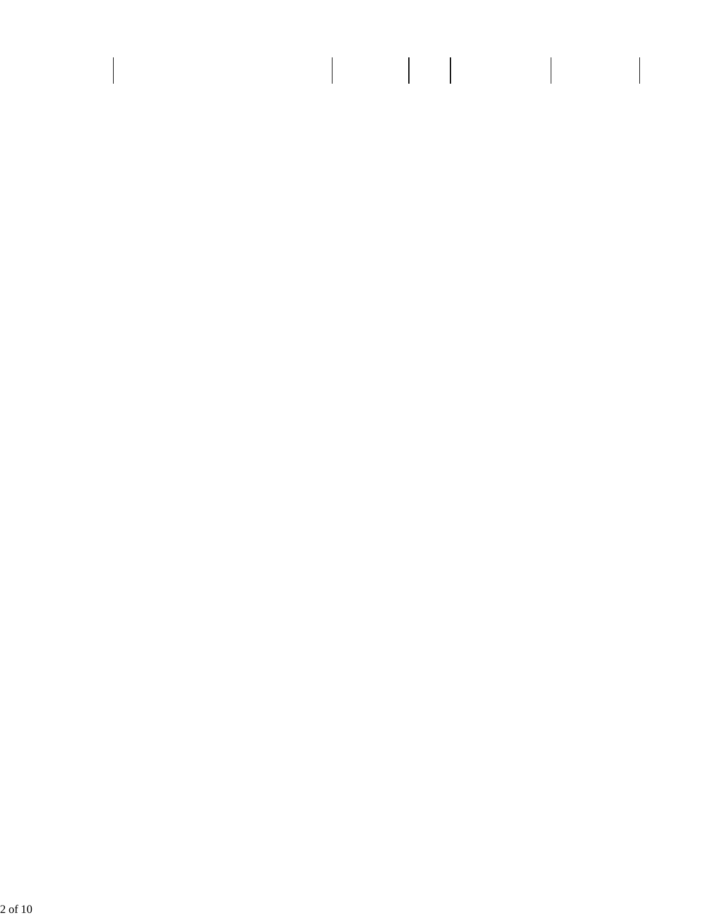2 of 10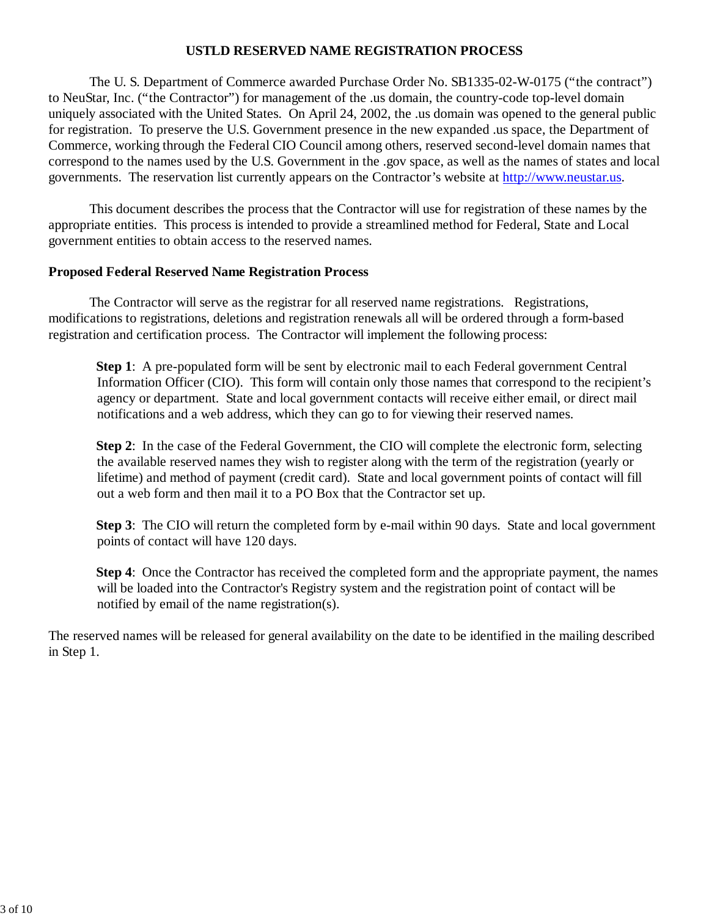### **USTLD RESERVED NAME REGISTRATION PROCESS**

The U. S. Department of Commerce awarded Purchase Order No. SB1335-02-W-0175 ("the contract") to NeuStar, Inc. ("the Contractor") for management of the .us domain, the country-code top-level domain uniquely associated with the United States. On April 24, 2002, the .us domain was opened to the general public for registration. To preserve the U.S. Government presence in the new expanded .us space, the Department of Commerce, working through the Federal CIO Council among others, reserved second-level domain names that correspond to the names used by the U.S. Government in the .gov space, as well as the names of states and local governments. The reservation list currently appears on the Contractor's website at http://www.neustar.us.

This document describes the process that the Contractor will use for registration of these names by the appropriate entities. This process is intended to provide a streamlined method for Federal, State and Local government entities to obtain access to the reserved names.

#### **Proposed Federal Reserved Name Registration Process**

The Contractor will serve as the registrar for all reserved name registrations. Registrations, modifications to registrations, deletions and registration renewals all will be ordered through a form-based registration and certification process. The Contractor will implement the following process:

**Step 1**: A pre-populated form will be sent by electronic mail to each Federal government Central Information Officer (CIO). This form will contain only those names that correspond to the recipient's agency or department. State and local government contacts will receive either email, or direct mail notifications and a web address, which they can go to for viewing their reserved names.

**Step 2**: In the case of the Federal Government, the CIO will complete the electronic form, selecting the available reserved names they wish to register along with the term of the registration (yearly or lifetime) and method of payment (credit card). State and local government points of contact will fill out a web form and then mail it to a PO Box that the Contractor set up.

**Step 3**: The CIO will return the completed form by e-mail within 90 days. State and local government points of contact will have 120 days.

**Step 4**: Once the Contractor has received the completed form and the appropriate payment, the names will be loaded into the Contractor's Registry system and the registration point of contact will be notified by email of the name registration(s).

The reserved names will be released for general availability on the date to be identified in the mailing described in Step 1.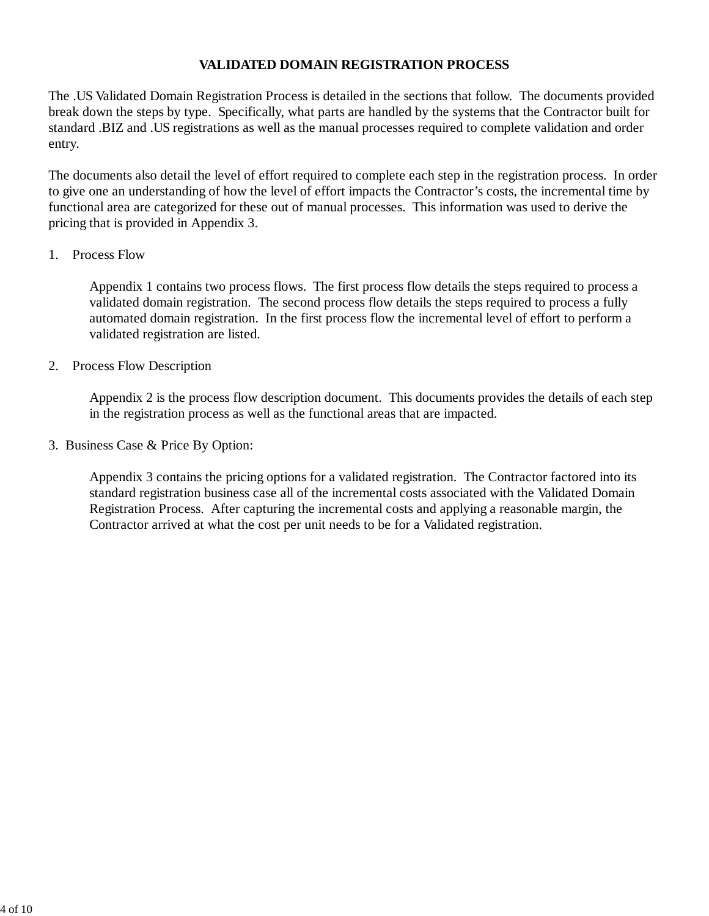#### **VALIDATED DOMAIN REGISTRATION PROCESS**

The .US Validated Domain Registration Process is detailed in the sections that follow. The documents provided break down the steps by type. Specifically, what parts are handled by the systems that the Contractor built for standard .BIZ and .US registrations as well as the manual processes required to complete validation and order entry.

The documents also detail the level of effort required to complete each step in the registration process. In order to give one an understanding of how the level of effort impacts the Contractor's costs, the incremental time by functional area are categorized for these out of manual processes. This information was used to derive the pricing that is provided in Appendix 3.

#### 1. Process Flow

Appendix 1 contains two process flows. The first process flow details the steps required to process a validated domain registration. The second process flow details the steps required to process a fully automated domain registration. In the first process flow the incremental level of effort to perform a validated registration are listed.

#### 2. Process Flow Description

Appendix 2 is the process flow description document. This documents provides the details of each step in the registration process as well as the functional areas that are impacted.

3. Business Case & Price By Option:

Appendix 3 contains the pricing options for a validated registration. The Contractor factored into its standard registration business case all of the incremental costs associated with the Validated Domain Registration Process. After capturing the incremental costs and applying a reasonable margin, the Contractor arrived at what the cost per unit needs to be for a Validated registration.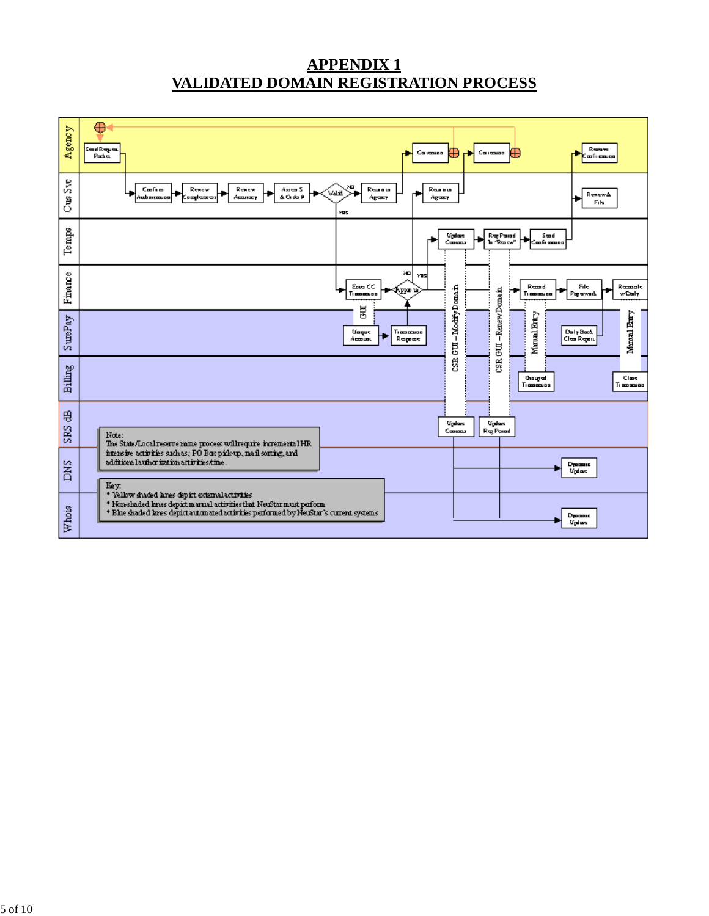## **APPENDIX 1 VALIDATED DOMAIN REGISTRATION PROCESS**

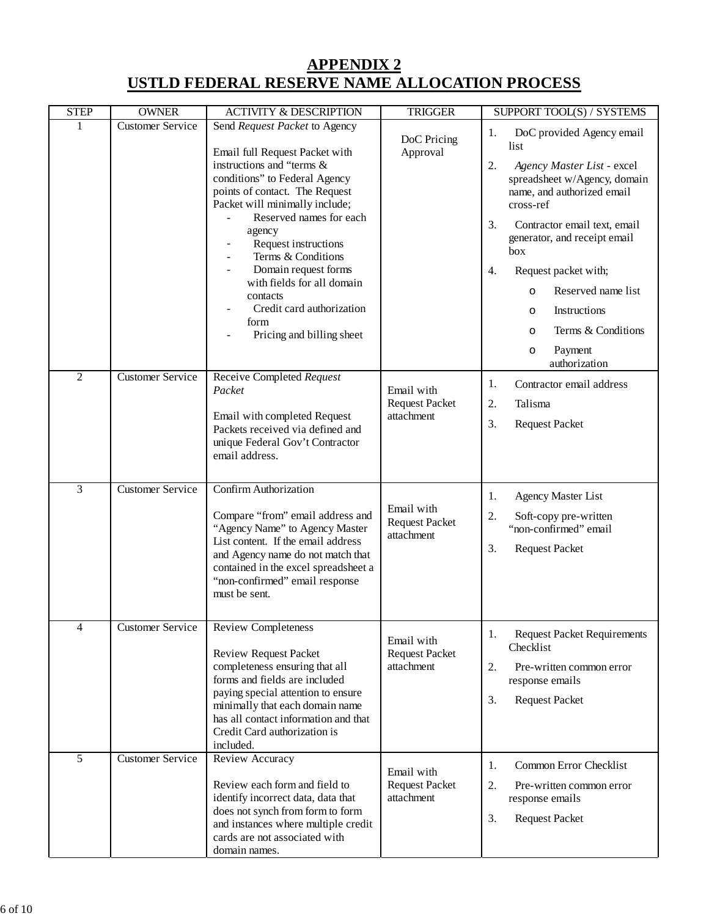## **APPENDIX 2 USTLD FEDERAL RESERVE NAME ALLOCATION PROCESS**

| <b>STEP</b><br><b>OWNER</b> |                         | <b>ACTIVITY &amp; DESCRIPTION</b>                                                                                                                                                                                                                                                                                                                                                                                        | <b>TRIGGER</b>                                    | SUPPORT TOOL(S) / SYSTEMS                                                                                                                                                                                                                                                                                                                                                                             |
|-----------------------------|-------------------------|--------------------------------------------------------------------------------------------------------------------------------------------------------------------------------------------------------------------------------------------------------------------------------------------------------------------------------------------------------------------------------------------------------------------------|---------------------------------------------------|-------------------------------------------------------------------------------------------------------------------------------------------------------------------------------------------------------------------------------------------------------------------------------------------------------------------------------------------------------------------------------------------------------|
| 1                           | <b>Customer Service</b> | Send Request Packet to Agency<br>Email full Request Packet with<br>instructions and "terms &<br>conditions" to Federal Agency<br>points of contact. The Request<br>Packet will minimally include;<br>Reserved names for each<br>agency<br>Request instructions<br>Terms & Conditions<br>Domain request forms<br>with fields for all domain<br>contacts<br>Credit card authorization<br>form<br>Pricing and billing sheet | DoC Pricing<br>Approval                           | 1.<br>DoC provided Agency email<br>list<br>2.<br>Agency Master List - excel<br>spreadsheet w/Agency, domain<br>name, and authorized email<br>cross-ref<br>3.<br>Contractor email text, email<br>generator, and receipt email<br>box<br>4.<br>Request packet with;<br>Reserved name list<br>$\circ$<br>Instructions<br>$\circ$<br>Terms & Conditions<br>$\circ$<br>Payment<br>$\circ$<br>authorization |
| 2                           | <b>Customer Service</b> | Receive Completed Request<br>Packet<br>Email with completed Request<br>Packets received via defined and<br>unique Federal Gov't Contractor<br>email address.                                                                                                                                                                                                                                                             | Email with<br>Request Packet<br>attachment        | Contractor email address<br>1.<br>2.<br>Talisma<br>3.<br><b>Request Packet</b>                                                                                                                                                                                                                                                                                                                        |
| 3                           | <b>Customer Service</b> | Confirm Authorization<br>Compare "from" email address and<br>"Agency Name" to Agency Master<br>List content. If the email address<br>and Agency name do not match that<br>contained in the excel spreadsheet a<br>"non-confirmed" email response<br>must be sent.                                                                                                                                                        | Email with<br><b>Request Packet</b><br>attachment | 1.<br>Agency Master List<br>2.<br>Soft-copy pre-written<br>"non-confirmed" email<br>3.<br><b>Request Packet</b>                                                                                                                                                                                                                                                                                       |
| $\overline{4}$              | <b>Customer Service</b> | <b>Review Completeness</b><br><b>Review Request Packet</b><br>completeness ensuring that all<br>forms and fields are included<br>paying special attention to ensure<br>minimally that each domain name<br>has all contact information and that<br>Credit Card authorization is<br>included.                                                                                                                              | Email with<br><b>Request Packet</b><br>attachment | 1.<br><b>Request Packet Requirements</b><br>Checklist<br>2.<br>Pre-written common error<br>response emails<br>3.<br><b>Request Packet</b>                                                                                                                                                                                                                                                             |
| 5                           | <b>Customer Service</b> | Review Accuracy<br>Review each form and field to<br>identify incorrect data, data that<br>does not synch from form to form<br>and instances where multiple credit<br>cards are not associated with<br>domain names.                                                                                                                                                                                                      | Email with<br><b>Request Packet</b><br>attachment | Common Error Checklist<br>1.<br>2.<br>Pre-written common error<br>response emails<br>3.<br><b>Request Packet</b>                                                                                                                                                                                                                                                                                      |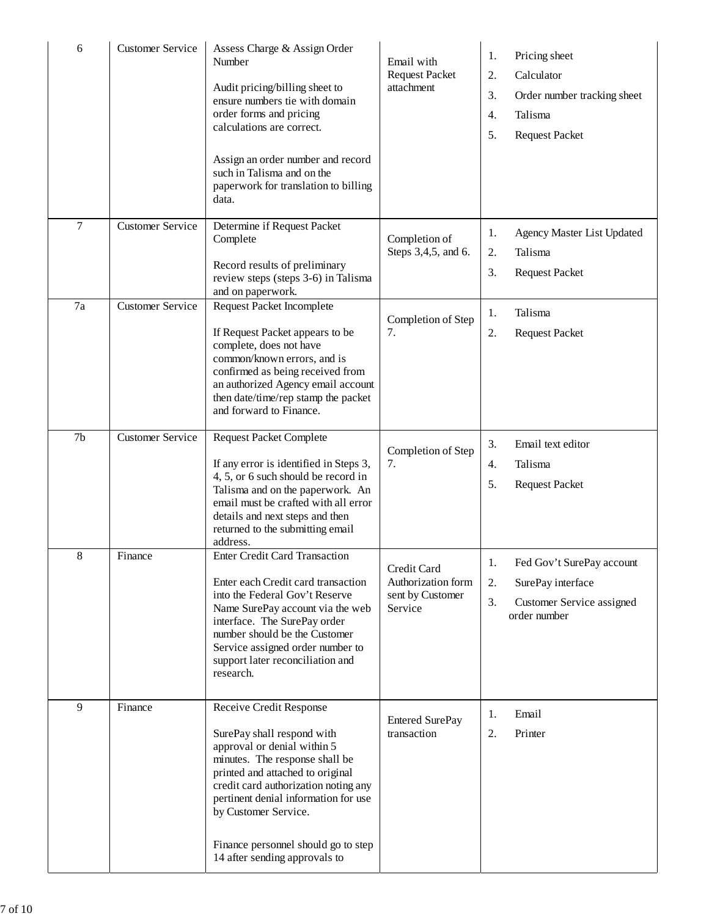| 6              | <b>Customer Service</b> | Assess Charge & Assign Order<br>Number<br>Audit pricing/billing sheet to<br>ensure numbers tie with domain<br>order forms and pricing<br>calculations are correct.<br>Assign an order number and record<br>such in Talisma and on the<br>paperwork for translation to billing<br>data.                                                     | Email with<br><b>Request Packet</b><br>attachment                | Pricing sheet<br>1.<br>Calculator<br>2.<br>3.<br>Order number tracking sheet<br>Talisma<br>4.<br>5.<br><b>Request Packet</b> |
|----------------|-------------------------|--------------------------------------------------------------------------------------------------------------------------------------------------------------------------------------------------------------------------------------------------------------------------------------------------------------------------------------------|------------------------------------------------------------------|------------------------------------------------------------------------------------------------------------------------------|
| $\tau$         | <b>Customer Service</b> | Determine if Request Packet<br>Complete<br>Record results of preliminary<br>review steps (steps 3-6) in Talisma<br>and on paperwork.                                                                                                                                                                                                       | Completion of<br>Steps 3,4,5, and 6.                             | Agency Master List Updated<br>1.<br>2.<br>Talisma<br>3.<br><b>Request Packet</b>                                             |
| 7a             | <b>Customer Service</b> | Request Packet Incomplete<br>If Request Packet appears to be<br>complete, does not have<br>common/known errors, and is<br>confirmed as being received from<br>an authorized Agency email account<br>then date/time/rep stamp the packet<br>and forward to Finance.                                                                         | Completion of Step<br>7.                                         | Talisma<br>1.<br>2.<br><b>Request Packet</b>                                                                                 |
| 7 <sub>b</sub> | <b>Customer Service</b> | <b>Request Packet Complete</b><br>If any error is identified in Steps 3,<br>4, 5, or 6 such should be record in<br>Talisma and on the paperwork. An<br>email must be crafted with all error<br>details and next steps and then<br>returned to the submitting email<br>address.                                                             | Completion of Step<br>7.                                         | 3.<br>Email text editor<br>Talisma<br>4.<br>5.<br><b>Request Packet</b>                                                      |
| 8              | Finance                 | <b>Enter Credit Card Transaction</b><br>Enter each Credit card transaction<br>into the Federal Gov't Reserve<br>Name SurePay account via the web<br>interface. The SurePay order<br>number should be the Customer<br>Service assigned order number to<br>support later reconciliation and<br>research.                                     | Credit Card<br>Authorization form<br>sent by Customer<br>Service | 1.<br>Fed Gov't SurePay account<br>2.<br>SurePay interface<br>3.<br>Customer Service assigned<br>order number                |
| 9              | Finance                 | Receive Credit Response<br>SurePay shall respond with<br>approval or denial within 5<br>minutes. The response shall be<br>printed and attached to original<br>credit card authorization noting any<br>pertinent denial information for use<br>by Customer Service.<br>Finance personnel should go to step<br>14 after sending approvals to | <b>Entered SurePay</b><br>transaction                            | Email<br>1.<br>Printer<br>2.                                                                                                 |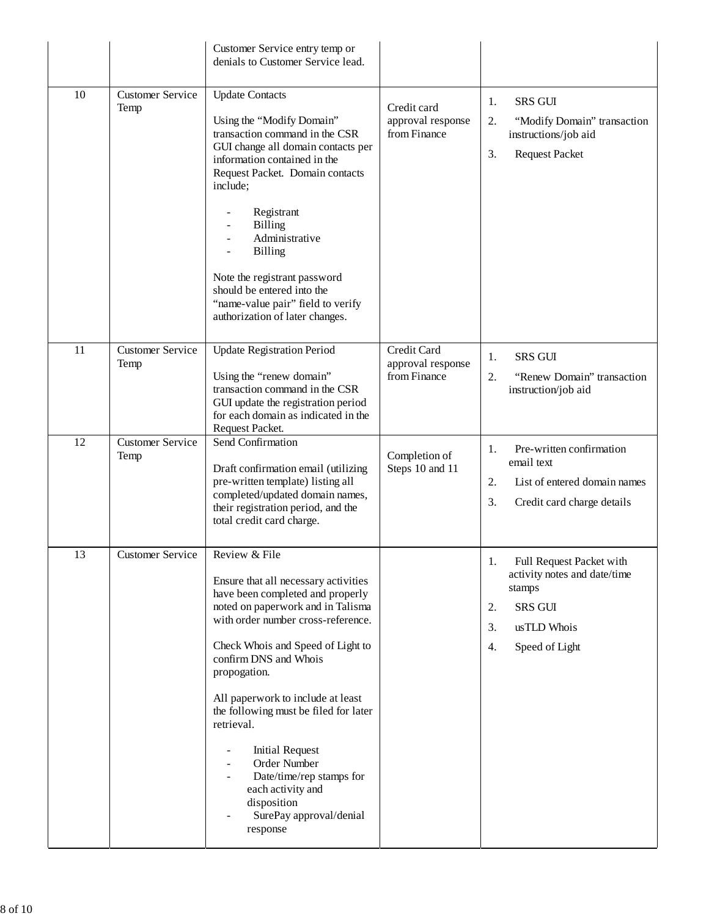|    |                                 | Customer Service entry temp or<br>denials to Customer Service lead.                                                                                                                                                                                                                                                                                                                                                                                                                             |                                                  |                                                                                                                                               |
|----|---------------------------------|-------------------------------------------------------------------------------------------------------------------------------------------------------------------------------------------------------------------------------------------------------------------------------------------------------------------------------------------------------------------------------------------------------------------------------------------------------------------------------------------------|--------------------------------------------------|-----------------------------------------------------------------------------------------------------------------------------------------------|
| 10 | <b>Customer Service</b><br>Temp | <b>Update Contacts</b><br>Using the "Modify Domain"<br>transaction command in the CSR<br>GUI change all domain contacts per<br>information contained in the<br>Request Packet. Domain contacts<br>include;<br>Registrant<br><b>Billing</b><br>Administrative                                                                                                                                                                                                                                    | Credit card<br>approval response<br>from Finance | <b>SRS GUI</b><br>1.<br>2.<br>"Modify Domain" transaction<br>instructions/job aid<br>3.<br><b>Request Packet</b>                              |
|    |                                 | <b>Billing</b><br>Note the registrant password<br>should be entered into the<br>"name-value pair" field to verify<br>authorization of later changes.                                                                                                                                                                                                                                                                                                                                            |                                                  |                                                                                                                                               |
| 11 | <b>Customer Service</b><br>Temp | <b>Update Registration Period</b><br>Using the "renew domain"<br>transaction command in the CSR<br>GUI update the registration period<br>for each domain as indicated in the<br>Request Packet.                                                                                                                                                                                                                                                                                                 | Credit Card<br>approval response<br>from Finance | <b>SRS GUI</b><br>1.<br>"Renew Domain" transaction<br>2.<br>instruction/job aid                                                               |
| 12 | <b>Customer Service</b><br>Temp | Send Confirmation<br>Draft confirmation email (utilizing<br>pre-written template) listing all<br>completed/updated domain names,<br>their registration period, and the<br>total credit card charge.                                                                                                                                                                                                                                                                                             | Completion of<br>Steps 10 and 11                 | Pre-written confirmation<br>1.<br>email text<br>2.<br>List of entered domain names<br>3.<br>Credit card charge details                        |
| 13 | <b>Customer Service</b>         | Review & File<br>Ensure that all necessary activities<br>have been completed and properly<br>noted on paperwork and in Talisma<br>with order number cross-reference.<br>Check Whois and Speed of Light to<br>confirm DNS and Whois<br>propogation.<br>All paperwork to include at least<br>the following must be filed for later<br>retrieval.<br><b>Initial Request</b><br>Order Number<br>Date/time/rep stamps for<br>each activity and<br>disposition<br>SurePay approval/denial<br>response |                                                  | 1.<br>Full Request Packet with<br>activity notes and date/time<br>stamps<br>2.<br><b>SRS GUI</b><br>3.<br>usTLD Whois<br>4.<br>Speed of Light |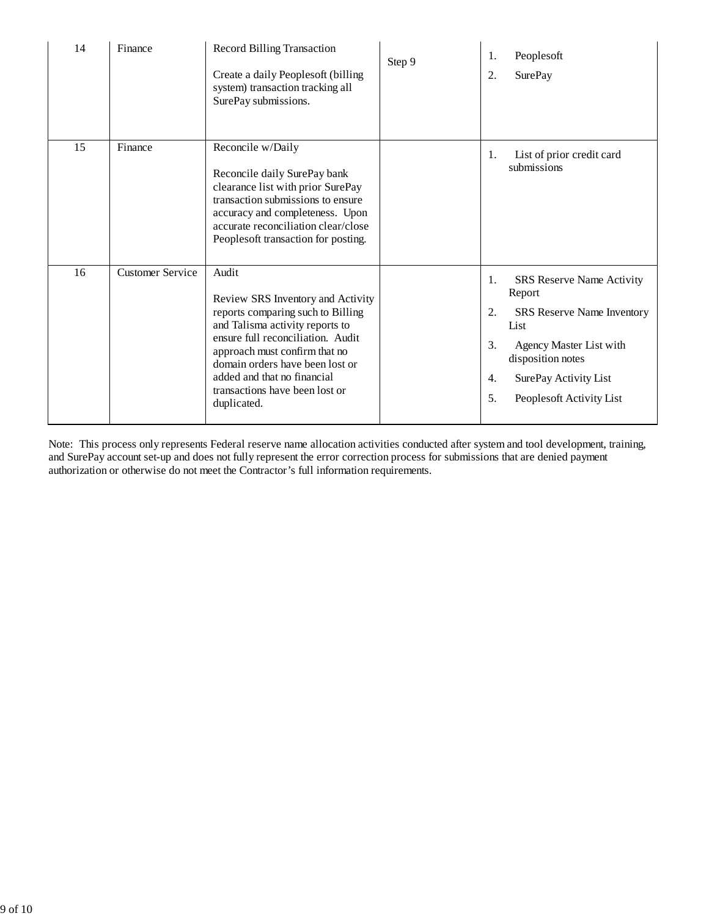| 14 | Finance                 | <b>Record Billing Transaction</b><br>Create a daily Peoplesoft (billing<br>system) transaction tracking all<br>SurePay submissions.                                                                                                                                                                         | Step 9 | Peoplesoft<br>1.<br>2.<br><b>SurePay</b>                                                                                                                                                                                   |
|----|-------------------------|-------------------------------------------------------------------------------------------------------------------------------------------------------------------------------------------------------------------------------------------------------------------------------------------------------------|--------|----------------------------------------------------------------------------------------------------------------------------------------------------------------------------------------------------------------------------|
| 15 | Finance                 | Reconcile w/Daily<br>Reconcile daily SurePay bank<br>clearance list with prior SurePay<br>transaction submissions to ensure<br>accuracy and completeness. Upon<br>accurate reconciliation clear/close<br>Peoplesoft transaction for posting.                                                                |        | List of prior credit card<br>1.<br>submissions                                                                                                                                                                             |
| 16 | <b>Customer Service</b> | Audit<br>Review SRS Inventory and Activity<br>reports comparing such to Billing<br>and Talisma activity reports to<br>ensure full reconciliation. Audit<br>approach must confirm that no<br>domain orders have been lost or<br>added and that no financial<br>transactions have been lost or<br>duplicated. |        | <b>SRS Reserve Name Activity</b><br>1.<br>Report<br>2.<br><b>SRS</b> Reserve Name Inventory<br>List<br>3.<br>Agency Master List with<br>disposition notes<br>4.<br>SurePay Activity List<br>5.<br>Peoplesoft Activity List |

Note: This process only represents Federal reserve name allocation activities conducted after system and tool development, training, and SurePay account set-up and does not fully represent the error correction process for submissions that are denied payment authorization or otherwise do not meet the Contractor's full information requirements.